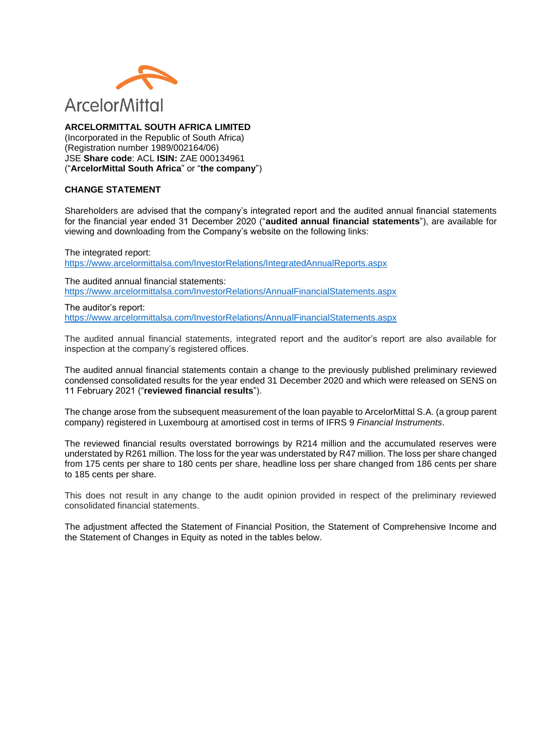

**ARCELORMITTAL SOUTH AFRICA LIMITED**

(Incorporated in the Republic of South Africa) (Registration number 1989/002164/06) JSE **Share code**: ACL **ISIN:** ZAE 000134961 ("**ArcelorMittal South Africa**" or "**the company**")

### **CHANGE STATEMENT**

Shareholders are advised that the company's integrated report and the audited annual financial statements for the financial year ended 31 December 2020 ("**audited annual financial statements**"), are available for viewing and downloading from the Company's website on the following links:

The integrated report: <https://www.arcelormittalsa.com/InvestorRelations/IntegratedAnnualReports.aspx>

The audited annual financial statements: <https://www.arcelormittalsa.com/InvestorRelations/AnnualFinancialStatements.aspx>

The auditor's report: <https://www.arcelormittalsa.com/InvestorRelations/AnnualFinancialStatements.aspx>

The audited annual financial statements, integrated report and the auditor's report are also available for inspection at the company's registered offices.

The audited annual financial statements contain a change to the previously published preliminary reviewed condensed consolidated results for the year ended 31 December 2020 and which were released on SENS on 11 February 2021 ("**reviewed financial results**").

The change arose from the subsequent measurement of the loan payable to ArcelorMittal S.A. (a group parent company) registered in Luxembourg at amortised cost in terms of IFRS 9 *Financial Instruments*.

The reviewed financial results overstated borrowings by R214 million and the accumulated reserves were understated by R261 million. The loss for the year was understated by R47 million. The loss per share changed from 175 cents per share to 180 cents per share, headline loss per share changed from 186 cents per share to 185 cents per share.

This does not result in any change to the audit opinion provided in respect of the preliminary reviewed consolidated financial statements.

The adjustment affected the Statement of Financial Position, the Statement of Comprehensive Income and the Statement of Changes in Equity as noted in the tables below.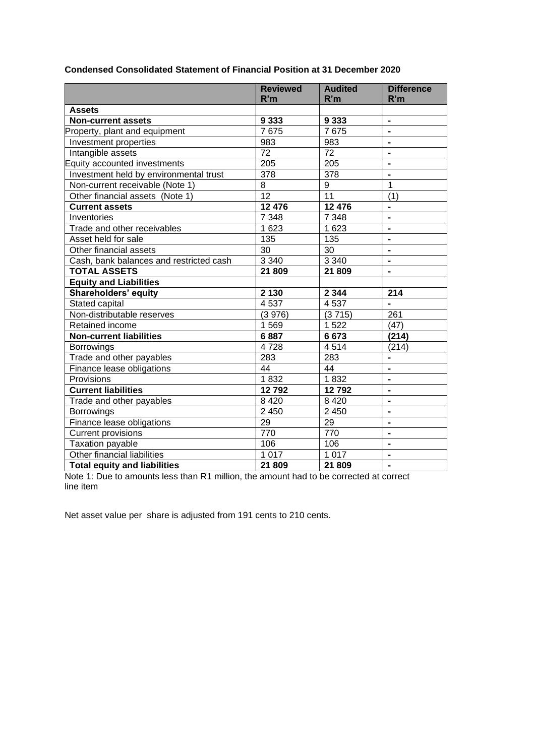|                                         | <b>Reviewed</b> | <b>Audited</b> | <b>Difference</b>            |
|-----------------------------------------|-----------------|----------------|------------------------------|
|                                         | R'm             | R'm            | R'm                          |
| <b>Assets</b>                           |                 |                |                              |
| <b>Non-current assets</b>               | 9 3 3 3         | 9 3 3 3        | $\blacksquare$               |
| Property, plant and equipment           | 7675            | 7675           | $\blacksquare$               |
| Investment properties                   | 983             | 983            | $\blacksquare$               |
| Intangible assets                       | 72              | 72             | $\blacksquare$               |
| Equity accounted investments            | 205             | 205            |                              |
| Investment held by environmental trust  | 378             | 378            |                              |
| Non-current receivable (Note 1)         | 8               | 9              | 1                            |
| Other financial assets (Note 1)         | 12              | 11             | (1)                          |
| <b>Current assets</b>                   | 12 476          | 12 476         | $\blacksquare$               |
| Inventories                             | 7 348           | 7 3 4 8        | ÷,                           |
| Trade and other receivables             | 1 623           | 1 6 2 3        | $\blacksquare$               |
| Asset held for sale                     | 135             | 135            | $\blacksquare$               |
| Other financial assets                  | 30              | 30             | $\blacksquare$               |
| Cash, bank balances and restricted cash | 3 3 4 0         | 3 3 4 0        | $\blacksquare$               |
| <b>TOTAL ASSETS</b>                     | 21 809          | 21 809         | $\blacksquare$               |
| <b>Equity and Liabilities</b>           |                 |                |                              |
| Shareholders' equity                    | 2 1 3 0         | 2 3 4 4        | 214                          |
| Stated capital                          | 4537            | 4537           |                              |
| Non-distributable reserves              | (3976)          | (3715)         | 261                          |
| Retained income                         | 1569            | 1522           | (47)                         |
| <b>Non-current liabilities</b>          | 6887            | 6673           | (214)                        |
| <b>Borrowings</b>                       | 4728            | 4514           | (214)                        |
| Trade and other payables                | 283             | 283            | -                            |
| Finance lease obligations               | 44              | 44             | $\overline{\phantom{0}}$     |
| Provisions                              | 1832            | 1832           | $\blacksquare$               |
| <b>Current liabilities</b>              | 12792           | 12792          | $\blacksquare$               |
| Trade and other payables                | 8 4 2 0         | 8 4 2 0        | $\blacksquare$               |
| Borrowings                              | 2 4 5 0         | 2 4 5 0        | $\blacksquare$               |
| Finance lease obligations               | 29              | 29             | $\blacksquare$               |
| <b>Current provisions</b>               | 770             | 770            | $\blacksquare$               |
| Taxation payable                        | 106             | 106            |                              |
| Other financial liabilities             | 1 0 1 7         | 1 0 1 7        | $\qquad \qquad \blacksquare$ |
| <b>Total equity and liabilities</b>     | 21 809          | 21 809         | $\blacksquare$               |

# **Condensed Consolidated Statement of Financial Position at 31 December 2020**

Note 1: Due to amounts less than R1 million, the amount had to be corrected at correct line item

Net asset value per share is adjusted from 191 cents to 210 cents.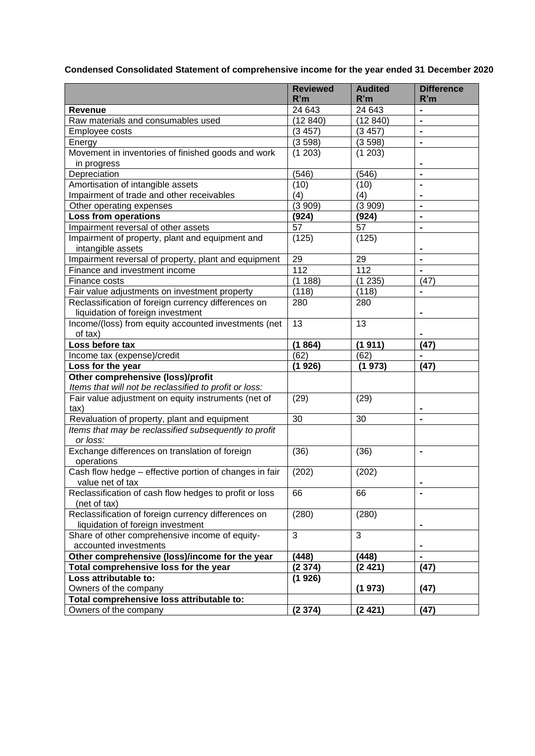**Condensed Consolidated Statement of comprehensive income for the year ended 31 December 2020**

|                                                                | <b>Reviewed</b><br>R'm | <b>Audited</b><br>R'm | <b>Difference</b><br>R'm |
|----------------------------------------------------------------|------------------------|-----------------------|--------------------------|
| Revenue                                                        | 24 643                 | 24 643                | $\blacksquare$           |
| Raw materials and consumables used                             | (12840)                | (12840)               | $\blacksquare$           |
| Employee costs                                                 | (3457)                 | (3457)                | $\blacksquare$           |
| Energy                                                         | (3598)                 | (3598)                | $\blacksquare$           |
| Movement in inventories of finished goods and work             | (1 203)                | (1 203)               |                          |
| in progress                                                    |                        |                       | $\blacksquare$           |
| Depreciation                                                   | (546)                  | (546)                 | $\blacksquare$           |
| Amortisation of intangible assets                              | (10)                   | (10)                  | $\blacksquare$           |
| Impairment of trade and other receivables                      | (4)                    | (4)                   | $\blacksquare$           |
| Other operating expenses                                       | (3909)                 | (3909)                | $\blacksquare$           |
| <b>Loss from operations</b>                                    | (924)                  | (924)                 | $\blacksquare$           |
| Impairment reversal of other assets                            | 57                     | 57                    | $\blacksquare$           |
| Impairment of property, plant and equipment and                | (125)                  | (125)                 |                          |
| intangible assets                                              |                        |                       | $\blacksquare$           |
| Impairment reversal of property, plant and equipment           | 29                     | 29                    |                          |
| Finance and investment income                                  | 112                    | 112                   |                          |
| Finance costs                                                  | (1188)                 | (1235)                | (47)                     |
| Fair value adjustments on investment property                  | (118)                  | (118)                 | $\blacksquare$           |
| Reclassification of foreign currency differences on            | 280                    | 280                   |                          |
| liquidation of foreign investment                              |                        |                       | $\blacksquare$           |
| Income/(loss) from equity accounted investments (net           | 13                     | 13                    |                          |
| of tax)                                                        |                        |                       |                          |
| Loss before tax                                                | (1864)                 | (1911)                | (47)                     |
| Income tax (expense)/credit                                    | (62)                   | (62)                  |                          |
| Loss for the year                                              | (1926)                 | (1973)                | (47)                     |
| Other comprehensive (loss)/profit                              |                        |                       |                          |
| Items that will not be reclassified to profit or loss:         |                        |                       |                          |
| Fair value adjustment on equity instruments (net of            | (29)                   | (29)                  |                          |
| $\text{tax}$                                                   |                        |                       |                          |
| Revaluation of property, plant and equipment                   | 30                     | 30                    |                          |
| Items that may be reclassified subsequently to profit          |                        |                       |                          |
| or loss:                                                       |                        |                       |                          |
| Exchange differences on translation of foreign                 | (36)                   | (36)                  |                          |
| operations                                                     |                        |                       |                          |
| Cash flow hedge - effective portion of changes in fair         | (202)                  | (202)                 |                          |
| value net of tax                                               |                        |                       |                          |
| Reclassification of cash flow hedges to profit or loss         | 66                     | 66                    |                          |
| (net of tax)                                                   |                        |                       |                          |
| Reclassification of foreign currency differences on            | (280)                  | (280)                 |                          |
| liquidation of foreign investment                              |                        |                       |                          |
| Share of other comprehensive income of equity-                 | 3                      | 3                     |                          |
| accounted investments                                          |                        |                       |                          |
| Other comprehensive (loss)/income for the year                 | (448)                  | (448)                 | $\blacksquare$           |
| Total comprehensive loss for the year<br>Loss attributable to: | (2374)                 | (2421)                | (47)                     |
| Owners of the company                                          | (1926)                 | (1973)                | (47)                     |
| Total comprehensive loss attributable to:                      |                        |                       |                          |
| Owners of the company                                          | (2374)                 | (2421)                | (47)                     |
|                                                                |                        |                       |                          |